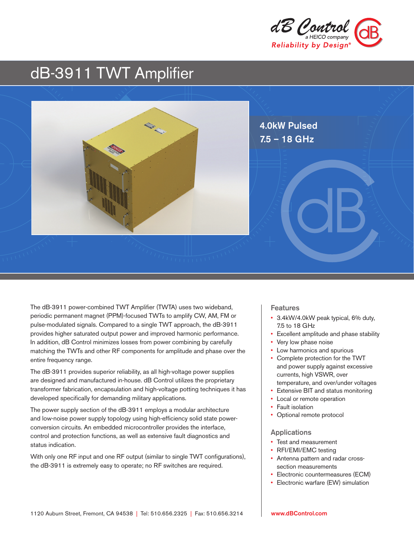

# dB-3911 TWT Amplifier



The dB-3911 power-combined TWT Amplifier (TWTA) uses two wideband, periodic permanent magnet (PPM)-focused TWTs to amplify CW, AM, FM or pulse-modulated signals. Compared to a single TWT approach, the dB-3911 provides higher saturated output power and improved harmonic performance. In addition, dB Control minimizes losses from power combining by carefully matching the TWTs and other RF components for amplitude and phase over the entire frequency range.

The dB-3911 provides superior reliability, as all high-voltage power supplies are designed and manufactured in-house. dB Control utilizes the proprietary transformer fabrication, encapsulation and high-voltage potting techniques it has developed specifically for demanding military applications.

The power supply section of the dB-3911 employs a modular architecture and low-noise power supply topology using high-efficiency solid state powerconversion circuits. An embedded microcontroller provides the interface, control and protection functions, as well as extensive fault diagnostics and status indication.

With only one RF input and one RF output (similar to single TWT configurations), the dB-3911 is extremely easy to operate; no RF switches are required.

#### Features

- 3.4kW/4.0kW peak typical, 6% duty, 7.5 to 18 GHz
- Excellent amplitude and phase stability
- Very low phase noise
- Low harmonics and spurious
- Complete protection for the TWT and power supply against excessive currents, high VSWR, over temperature, and over/under voltages
- Extensive BIT and status monitoring
- Local or remote operation
- Fault isolation
- Optional remote protocol

#### Applications

- Test and measurement
- RFI/EMI/EMC testing
- Antenna pattern and radar crosssection measurements
- Electronic countermeasures (ECM)
- Electronic warfare (EW) simulation